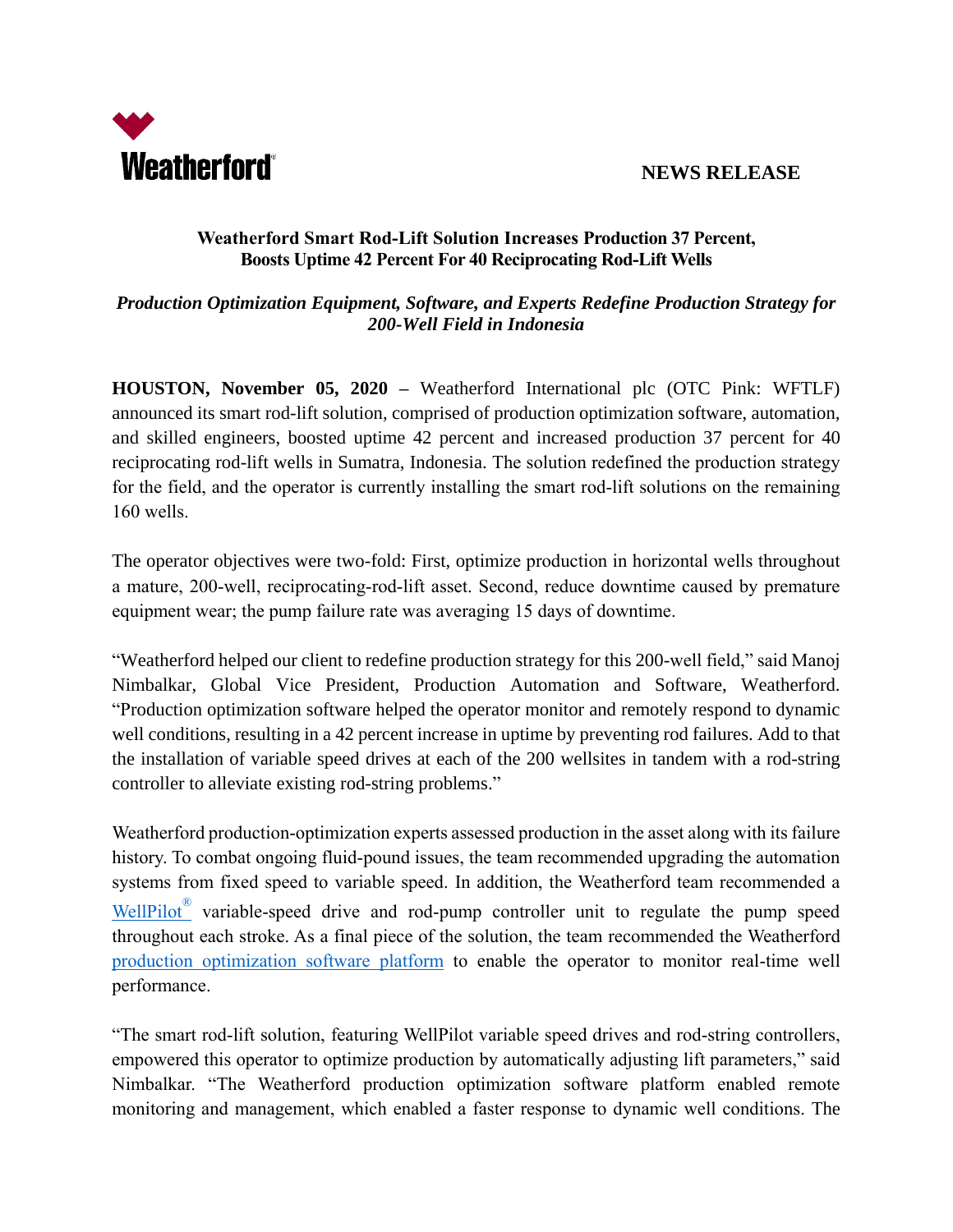

## **Weatherford Smart Rod-Lift Solution Increases Production 37 Percent, Boosts Uptime 42 Percent For 40 Reciprocating Rod-Lift Wells**

## *Production Optimization Equipment, Software, and Experts Redefine Production Strategy for 200-Well Field in Indonesia*

**HOUSTON, November 05, 2020 –** Weatherford International plc (OTC Pink: WFTLF) announced its smart rod-lift solution, comprised of production optimization software, automation, and skilled engineers, boosted uptime 42 percent and increased production 37 percent for 40 reciprocating rod-lift wells in Sumatra, Indonesia. The solution redefined the production strategy for the field, and the operator is currently installing the smart rod-lift solutions on the remaining 160 wells.

The operator objectives were two-fold: First, optimize production in horizontal wells throughout a mature, 200-well, reciprocating-rod-lift asset. Second, reduce downtime caused by premature equipment wear; the pump failure rate was averaging 15 days of downtime.

"Weatherford helped our client to redefine production strategy for this 200-well field," said Manoj Nimbalkar, Global Vice President, Production Automation and Software, Weatherford. "Production optimization software helped the operator monitor and remotely respond to dynamic well conditions, resulting in a 42 percent increase in uptime by preventing rod failures. Add to that the installation of variable speed drives at each of the 200 wellsites in tandem with a rod-string controller to alleviate existing rod-string problems."

Weatherford production-optimization experts assessed production in the asset along with its failure history. To combat ongoing fluid-pound issues, the team recommended upgrading the automation systems from fixed speed to variable speed. In addition, the Weatherford team recommended a [WellPilot](https://www.weatherford.com/en/products-and-services/production/artificial-lift-systems/automation-and-control/)<sup>®</sup> variable-speed drive and rod-pump controller unit to regulate the pump speed throughout each stroke. As a final piece of the solution, the team recommended the Weatherford [production optimization software platform](https://www.weatherford.com/en/products-and-services/production/production-4-0/) to enable the operator to monitor real-time well performance.

"The smart rod-lift solution, featuring WellPilot variable speed drives and rod-string controllers, empowered this operator to optimize production by automatically adjusting lift parameters," said Nimbalkar. "The Weatherford production optimization software platform enabled remote monitoring and management, which enabled a faster response to dynamic well conditions. The